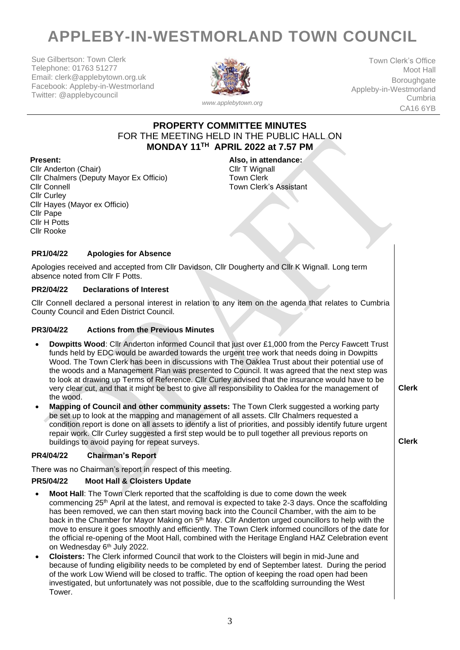# **APPLEBY-IN-WESTMORLAND TOWN COUNCIL**

Sue Gilbertson: Town Clerk Telephone: 01763 51277 Email: clerk@applebytown.org.uk Facebook: Appleby-in-Westmorland Twitter: @applebycouncil



Town Clerk's Office Moot Hall **Boroughgate** Appleby-in-Westmorland Cumbria CA16 6YB

## **PROPERTY COMMITTEE MINUTES** FOR THE MEETING HELD IN THE PUBLIC HALL ON **MONDAY 11TH APRIL 2022 at 7.57 PM**

Cllr Anderton (Chair) Cllr Chalmers (Deputy Mayor Ex Officio) Cllr Connell Cllr Curley Cllr Hayes (Mayor ex Officio) Cllr Pape Cllr H Potts Cllr Rooke

**Present: Also, in attendance:** Cllr T Wignall Town Clerk Town Clerk's Assistant

#### **PR1/04/22 Apologies for Absence**

Apologies received and accepted from Cllr Davidson, Cllr Dougherty and Cllr K Wignall. Long term absence noted from Cllr F Potts.

#### **PR2/04/22 Declarations of Interest**

Cllr Connell declared a personal interest in relation to any item on the agenda that relates to Cumbria County Council and Eden District Council.

#### **PR3/04/22 Actions from the Previous Minutes**

- **Dowpitts Wood**: Cllr Anderton informed Council that just over £1,000 from the Percy Fawcett Trust funds held by EDC would be awarded towards the urgent tree work that needs doing in Dowpitts Wood. The Town Clerk has been in discussions with The Oaklea Trust about their potential use of the woods and a Management Plan was presented to Council. It was agreed that the next step was to look at drawing up Terms of Reference. Cllr Curley advised that the insurance would have to be very clear cut, and that it might be best to give all responsibility to Oaklea for the management of the wood.
- **Mapping of Council and other community assets:** The Town Clerk suggested a working party be set up to look at the mapping and management of all assets. Cllr Chalmers requested a condition report is done on all assets to identify a list of priorities, and possibly identify future urgent repair work. Cllr Curley suggested a first step would be to pull together all previous reports on buildings to avoid paying for repeat surveys.

**Clerk**

**Clerk**

#### **PR4/04/22 Chairman's Report**

There was no Chairman's report in respect of this meeting.

#### **PR5/04/22 Moot Hall & Cloisters Update**

- **Moot Hall**: The Town Clerk reported that the scaffolding is due to come down the week commencing 25th April at the latest, and removal is expected to take 2-3 days. Once the scaffolding has been removed, we can then start moving back into the Council Chamber, with the aim to be back in the Chamber for Mayor Making on 5<sup>th</sup> May. Cllr Anderton urged councillors to help with the move to ensure it goes smoothly and efficiently. The Town Clerk informed councillors of the date for the official re-opening of the Moot Hall, combined with the Heritage England HAZ Celebration event on Wednesday 6<sup>th</sup> July 2022.
- **Cloisters:** The Clerk informed Council that work to the Cloisters will begin in mid-June and because of funding eligibility needs to be completed by end of September latest. During the period of the work Low Wiend will be closed to traffic. The option of keeping the road open had been investigated, but unfortunately was not possible, due to the scaffolding surrounding the West Tower.